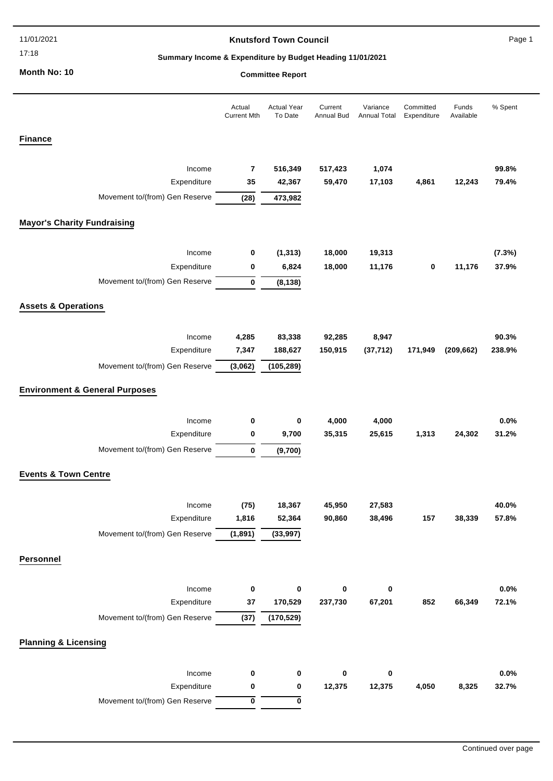#### 11/01/2021

17:18

### **Knutsford Town Council**

Page 1

# **Summary Income & Expenditure by Budget Heading 11/01/2021**

**Month No: 10**

### **Committee Report**

|                                           | Actual<br><b>Current Mth</b> | <b>Actual Year</b><br>To Date | Current<br>Annual Bud | Variance<br>Annual Total | Committed<br>Expenditure | Funds<br>Available | % Spent |
|-------------------------------------------|------------------------------|-------------------------------|-----------------------|--------------------------|--------------------------|--------------------|---------|
| <b>Finance</b>                            |                              |                               |                       |                          |                          |                    |         |
| Income                                    | $\overline{7}$               | 516,349                       | 517,423               | 1,074                    |                          |                    | 99.8%   |
| Expenditure                               | 35                           | 42,367                        | 59,470                | 17,103                   | 4,861                    | 12,243             | 79.4%   |
| Movement to/(from) Gen Reserve            | (28)                         | 473,982                       |                       |                          |                          |                    |         |
| <b>Mayor's Charity Fundraising</b>        |                              |                               |                       |                          |                          |                    |         |
| Income                                    | 0                            | (1, 313)                      | 18,000                | 19,313                   |                          |                    | (7.3%)  |
| Expenditure                               | 0                            | 6,824                         | 18,000                | 11,176                   | 0                        | 11,176             | 37.9%   |
| Movement to/(from) Gen Reserve            | $\bf{0}$                     | (8, 138)                      |                       |                          |                          |                    |         |
| <b>Assets &amp; Operations</b>            |                              |                               |                       |                          |                          |                    |         |
| Income                                    | 4,285                        | 83,338                        | 92,285                | 8,947                    |                          |                    | 90.3%   |
| Expenditure                               | 7,347                        | 188,627                       | 150,915               | (37, 712)                | 171,949                  | (209, 662)         | 238.9%  |
| Movement to/(from) Gen Reserve            | (3,062)                      | (105, 289)                    |                       |                          |                          |                    |         |
| <b>Environment &amp; General Purposes</b> |                              |                               |                       |                          |                          |                    |         |
| Income                                    | $\bf{0}$                     | 0                             | 4,000                 | 4,000                    |                          |                    | 0.0%    |
| Expenditure                               | 0                            | 9,700                         | 35,315                | 25,615                   | 1,313                    | 24,302             | 31.2%   |
| Movement to/(from) Gen Reserve            | $\bf{0}$                     | (9,700)                       |                       |                          |                          |                    |         |
| <b>Events &amp; Town Centre</b>           |                              |                               |                       |                          |                          |                    |         |
|                                           |                              |                               |                       |                          |                          |                    |         |
| Income                                    | (75)                         | 18,367                        | 45,950                | 27,583                   |                          |                    | 40.0%   |
| Expenditure                               | 1,816                        | 52,364                        | 90,860                | 38,496                   | 157                      | 38,339             | 57.8%   |
| Movement to/(from) Gen Reserve            | (1,891)                      | (33,997)                      |                       |                          |                          |                    |         |
| Personnel                                 |                              |                               |                       |                          |                          |                    |         |
| Income                                    | $\pmb{0}$                    | 0                             | 0                     | 0                        |                          |                    | 0.0%    |
| Expenditure                               | $37\,$                       | 170,529                       | 237,730               | 67,201                   | 852                      | 66,349             | 72.1%   |
| Movement to/(from) Gen Reserve            | (37)                         | (170, 529)                    |                       |                          |                          |                    |         |
| <b>Planning &amp; Licensing</b>           |                              |                               |                       |                          |                          |                    |         |
| Income                                    | 0                            | 0                             | 0                     | 0                        |                          |                    | 0.0%    |
| Expenditure                               | 0                            | 0                             | 12,375                | 12,375                   | 4,050                    | 8,325              | 32.7%   |
| Movement to/(from) Gen Reserve            | 0                            | 0                             |                       |                          |                          |                    |         |
|                                           |                              |                               |                       |                          |                          |                    |         |